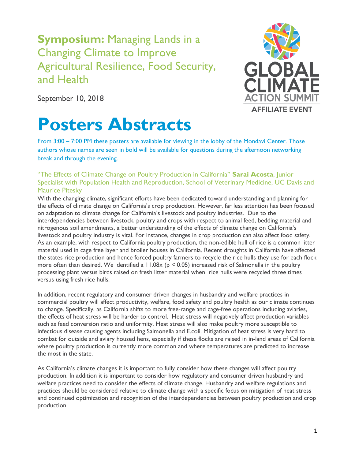## **Symposium:** Managing Lands in a Changing Climate to Improve Agricultural Resilience, Food Security, and Health



September 10, 2018

# **Posters Abstracts**

From 3:00 – 7:00 PM these posters are available for viewing in the lobby of the Mondavi Center. Those authors whose names are seen in bold will be available for questions during the afternoon networking break and through the evening.

### "The Effects of Climate Change on Poultry Production in California" **Sarai Acosta**, Junior Specialist with Population Health and Reproduction, School of Veterinary Medicine, UC Davis and Maurice Pitesky

With the changing climate, significant efforts have been dedicated toward understanding and planning for the effects of climate change on California's crop production. However, far less attention has been focused on adaptation to climate change for California's livestock and poultry industries. Due to the interdependencies between livestock, poultry and crops with respect to animal feed, bedding material and nitrogenous soil amendments, a better understanding of the effects of climate change on California's livestock and poultry industry is vital. For instance, changes in crop production can also affect food safety. As an example, with respect to California poultry production, the non-edible hull of rice is a common litter material used in cage free layer and broiler houses in California. Recent droughts in California have affected the states rice production and hence forced poultry farmers to recycle the rice hulls they use for each flock more often than desired. We identified a  $11.08x$  (p < 0.05) increased risk of Salmonella in the poultry processing plant versus birds raised on fresh litter material when rice hulls were recycled three times versus using fresh rice hulls.

In addition, recent regulatory and consumer driven changes in husbandry and welfare practices in commercial poultry will affect productivity, welfare, food safety and poultry health as our climate continues to change. Specifically, as California shifts to more free-range and cage-free operations including aviaries, the effects of heat stress will be harder to control. Heat stress will negatively affect production variables such as feed conversion ratio and uniformity. Heat stress will also make poultry more susceptible to infectious disease causing agents including Salmonella and E.coli. Mitigation of heat stress is very hard to combat for outside and aviary housed hens, especially if these flocks are raised in in-land areas of California where poultry production is currently more common and where temperatures are predicted to increase the most in the state.

As California's climate changes it is important to fully consider how these changes will affect poultry production. In addition it is important to consider how regulatory and consumer driven husbandry and welfare practices need to consider the effects of climate change. Husbandry and welfare regulations and practices should be considered relative to climate change with a specific focus on mitigation of heat stress and continued optimization and recognition of the interdependencies between poultry production and crop production.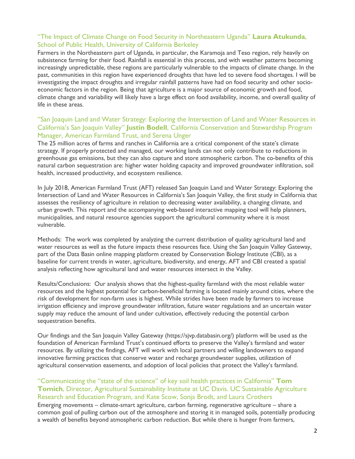#### "The Impact of Climate Change on Food Security in Northeastern Uganda" **Laura Atukunda**, School of Public Health, University of California Berkeley

Farmers in the Northeastern part of Uganda, in particular, the Karamoja and Teso region, rely heavily on subsistence farming for their food. Rainfall is essential in this process, and with weather patterns becoming increasingly unpredictable, these regions are particularly vulnerable to the impacts of climate change. In the past, communities in this region have experienced droughts that have led to severe food shortages. I will be investigating the impact droughts and irregular rainfall patterns have had on food security and other socioeconomic factors in the region. Being that agriculture is a major source of economic growth and food, climate change and variability will likely have a large effect on food availability, income, and overall quality of life in these areas.

#### "San Joaquin Land and Water Strategy: Exploring the Intersection of Land and Water Resources in California's San Joaquin Valley" **Justin Bodell**, California Conservation and Stewardship Program Manager, American Farmland Trust, and Serena Unger

The 25 million acres of farms and ranches in California are a critical component of the state's climate strategy. If properly protected and managed, our working lands can not only contribute to reductions in greenhouse gas emissions, but they can also capture and store atmospheric carbon. The co-benefits of this natural carbon sequestration are: higher water holding capacity and improved groundwater infiltration, soil health, increased productivity, and ecosystem resilience.

In July 2018, American Farmland Trust (AFT) released San Joaquin Land and Water Strategy: Exploring the Intersection of Land and Water Resources in California's San Joaquin Valley, the first study in California that assesses the resiliency of agriculture in relation to decreasing water availability, a changing climate, and urban growth. This report and the accompanying web-based interactive mapping tool will help planners, municipalities, and natural resource agencies support the agricultural community where it is most vulnerable.

Methods: The work was completed by analyzing the current distribution of quality agricultural land and water resources as well as the future impacts these resources face. Using the San Joaquin Valley Gateway, part of the Data Basin online mapping platform created by Conservation Biology Institute (CBI), as a baseline for current trends in water, agriculture, biodiversity, and energy, AFT and CBI created a spatial analysis reflecting how agricultural land and water resources intersect in the Valley.

Results/Conclusions: Our analysis shows that the highest-quality farmland with the most reliable water resources and the highest potential for carbon-beneficial farming is located mainly around cities, where the risk of development for non-farm uses is highest. While strides have been made by farmers to increase irrigation efficiency and improve groundwater infiltration, future water regulations and an uncertain water supply may reduce the amount of land under cultivation, effectively reducing the potential carbon sequestration benefits.

Our findings and the San Joaquin Valley Gateway (https://sjvp.databasin.org/) platform will be used as the foundation of American Farmland Trust's continued efforts to preserve the Valley's farmland and water resources. By utilizing the findings, AFT will work with local partners and willing landowners to expand innovative farming practices that conserve water and recharge groundwater supplies, utilization of agricultural conservation easements, and adoption of local policies that protect the Valley's farmland.

#### "Communicating the "state of the science" of key soil health practices in California" **Tom Tomich**, Director, Agricultural Sustainability Institute at UC Davis. UC Sustainable Agriculture Research and Education Program, and Kate Scow, Sonja Brodt, and Laura Crothers

Emerging movements – climate-smart agriculture, carbon farming, regenerative agriculture – share a common goal of pulling carbon out of the atmosphere and storing it in managed soils, potentially producing a wealth of benefits beyond atmospheric carbon reduction. But while there is hunger from farmers,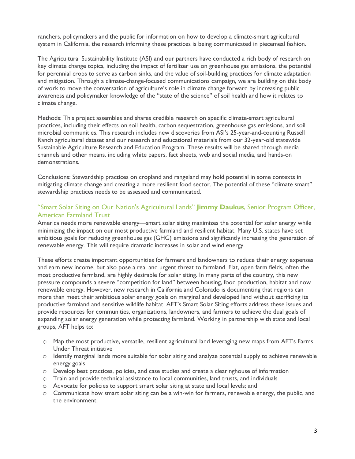ranchers, policymakers and the public for information on how to develop a climate-smart agricultural system in California, the research informing these practices is being communicated in piecemeal fashion.

The Agricultural Sustainability Institute (ASI) and our partners have conducted a rich body of research on key climate change topics, including the impact of fertilizer use on greenhouse gas emissions, the potential for perennial crops to serve as carbon sinks, and the value of soil-building practices for climate adaptation and mitigation. Through a climate-change-focused communications campaign, we are building on this body of work to move the conversation of agriculture's role in climate change forward by increasing public awareness and policymaker knowledge of the "state of the science" of soil health and how it relates to climate change.

Methods: This project assembles and shares credible research on specific climate-smart agricultural practices, including their effects on soil health, carbon sequestration, greenhouse gas emissions, and soil microbial communities. This research includes new discoveries from ASI's 25-year-and-counting Russell Ranch agricultural dataset and our research and educational materials from our 32-year-old statewide Sustainable Agriculture Research and Education Program. These results will be shared through media channels and other means, including white papers, fact sheets, web and social media, and hands-on demonstrations.

Conclusions: Stewardship practices on cropland and rangeland may hold potential in some contexts in mitigating climate change and creating a more resilient food sector. The potential of these "climate smart" stewardship practices needs to be assessed and communicated.

#### "Smart Solar Siting on Our Nation's Agricultural Lands" **Jimmy Daukus**, Senior Program Officer, American Farmland Trust

America needs more renewable energy—smart solar siting maximizes the potential for solar energy while minimizing the impact on our most productive farmland and resilient habitat. Many U.S. states have set ambitious goals for reducing greenhouse gas (GHG) emissions and significantly increasing the generation of renewable energy. This will require dramatic increases in solar and wind energy.

These efforts create important opportunities for farmers and landowners to reduce their energy expenses and earn new income, but also pose a real and urgent threat to farmland. Flat, open farm fields, often the most productive farmland, are highly desirable for solar siting. In many parts of the country, this new pressure compounds a severe "competition for land" between housing, food production, habitat and now renewable energy. However, new research in California and Colorado is documenting that regions can more than meet their ambitious solar energy goals on marginal and developed land without sacrificing its productive farmland and sensitive wildlife habitat. AFT's Smart Solar Siting efforts address these issues and provide resources for communities, organizations, landowners, and farmers to achieve the dual goals of expanding solar energy generation while protecting farmland. Working in partnership with state and local groups, AFT helps to:

- ѻ Map the most productive, versatile, resilient agricultural land leveraging new maps from AFT's Farms Under Threat initiative
- ѻ Identify marginal lands more suitable for solar siting and analyze potential supply to achieve renewable energy goals
- $\circ$  Develop best practices, policies, and case studies and create a clearinghouse of information
- ѻ Train and provide technical assistance to local communities, land trusts, and individuals
- ѻ Advocate for policies to support smart solar siting at state and local levels; and
- $\circ$  Communicate how smart solar siting can be a win-win for farmers, renewable energy, the public, and the environment.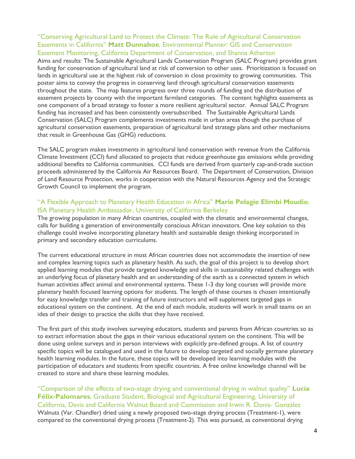#### "Conserving Agricultural Land to Protect the Climate: The Role of Agricultural Conservation Easements in California" **Matt Dunnahoe**, Environmental Planner: GIS and Conservation Easement Monitoring, California Department of Conservation, and Shanna Atherton

Aims and results: The Sustainable Agricultural Lands Conservation Program (SALC Program) provides grant funding for conservation of agricultural land at risk of conversion to other uses. Prioritization is focused on lands in agricultural use at the highest risk of conversion in close proximity to growing communities. This poster aims to convey the progress in conserving land through agricultural conservation easements throughout the state. The map features progress over three rounds of funding and the distribution of easement projects by county with the important farmland categories. The content highlights easements as one component of a broad strategy to foster a more resilient agricultural sector. Annual SALC Program funding has increased and has been consistently oversubscribed. The Sustainable Agricultural Lands Conservation (SALC) Program complements investments made in urban areas though the purchase of agricultural conservation easements, preparation of agricultural land strategy plans and other mechanisms that result in Greenhouse Gas (GHG) reductions.

The SALC program makes investments in agricultural land conservation with revenue from the California Climate Investment (CCI) fund allocated to projects that reduce greenhouse gas emissions while providing additional benefits to California communities. CCI funds are derived from quarterly cap-and-trade auction proceeds administered by the California Air Resources Board. The Department of Conservation, Division of Land Resource Protection, works in cooperation with the Natural Resources Agency and the Strategic Growth Council to implement the program.

#### "A Flexible Approach to Planetary Health Education in Africa" **Marie Pelagie Elimbi Moudio**, ISA Planetary Health Ambassador, University of California Berkeley

The growing population in many African countries, coupled with the climatic and environmental changes, calls for building a generation of environmentally conscious African innovators. One key solution to this challenge could involve incorporating planetary health and sustainable design thinking incorporated in primary and secondary education curriculums.

The current educational structure in most African countries does not accommodate the insertion of new and complex learning topics such as planetary health. As such, the goal of this project is to develop short applied learning modules that provide targeted knowledge and skills in sustainability related challenges with an underlying focus of planetary health and an understanding of the earth as a connected system in which human activities affect animal and environmental systems. These 1-3 day long courses will provide more planetary health focused learning options for students. The length of these courses is chosen intentionally for easy knowledge transfer and training of future instructors and will supplement targeted gaps in educational system on the continent. At the end of each module, students will work in small teams on an idea of their design to practice the skills that they have received.

The first part of this study involves surveying educators, students and parents from African countries so as to extract information about the gaps in their various educational system on the continent. This will be done using online surveys and in person interviews with explicitly pre-defined groups. A list of country specific topics will be catalogued and used in the future to develop targeted and socially germane planetary health learning modules. In the future, these topics will be developed into learning modules with the participation of educators and students from specific countries. A free online knowledge channel will be created to store and share these learning modules.

"Comparison of the effects of two-stage drying and conventional drying in walnut quality" **Lucía Félix-Palomares**, Graduate Student, Biological and Agricultural Engineering, University of California, Davis and California Walnut Board and Commission and Irwin R. Donis- González Walnuts (Var. Chandler) dried using a newly proposed two-stage drying process (Treatment-1), were compared to the conventional drying process (Treatment-2). This was pursued, as conventional drying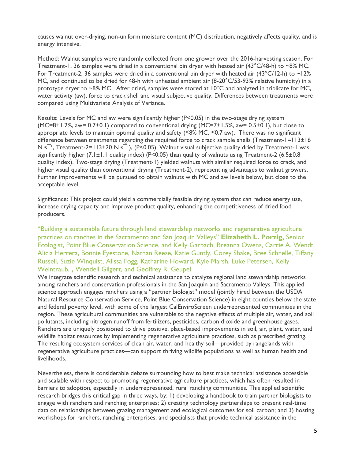causes walnut over-drying, non-uniform moisture content (MC) distribution, negatively affects quality, and is energy intensive.

Method: Walnut samples were randomly collected from one grower over the 2016-harvesting season. For Treatment-1, 36 samples were dried in a conventional bin dryer with heated air (43°C/48-h) to ~8% MC. For Treatment-2, 36 samples were dried in a conventional bin dryer with heated air (43°C/12-h) to ~12% MC, and continued to be dried for 48-h with unheated ambient air (8-20°C/53-93% relative humidity) in a prototype dryer to ~8% MC. After dried, samples were stored at 10°C and analyzed in triplicate for MC, water activity (aw), force to crack shell and visual subjective quality. Differences between treatments were compared using Multivariate Analysis of Variance.

Results: Levels for MC and aw were significantly higher (P<0.05) in the two-stage drying system  $(MC=8\pm1.2\%$ , aw= 0.7 $\pm$ 0.1) compared to conventional drying  $(MC=7\pm1.5\%$ , aw= 0.5 $\pm$ 0.1), but close to appropriate levels to maintain optimal quality and safety (≤8% MC, ≤0.7 aw). There was no significant difference between treatments regarding the required force to crack sample shells (Treatment-1=113±16 N  $s^{-1}$ , Treatment-2=113±20 N  $s^{-1}$ ), (P<0.05). Walnut visual subjective quality dried by Treatment-1 was significantly higher  $(7.1 \pm 1.1)$  quality index) (P<0.05) than quality of walnuts using Treatment-2 (6.5 $\pm$ 0.8 quality index). Two-stage drying (Treatment-1) yielded walnuts with similar required force to crack, and higher visual quality than conventional drying (Treatment-2), representing advantages to walnut growers. Further improvements will be pursued to obtain walnuts with MC and aw levels below, but close to the acceptable level.

Significance: This project could yield a commercially feasible drying system that can reduce energy use, increase drying capacity and improve product quality, enhancing the competitiveness of dried food producers.

"Building a sustainable future through land stewardship networks and regenerative agriculture practices on ranches in the Sacramento and San Joaquin Valleys" **Elizabeth L. Porzig,** Senior Ecologist, Point Blue Conservation Science, and Kelly Garbach, Breanna Owens, Carrie A. Wendt, Alicia Herrera, Bonnie Eyestone, Nathan Reese, Katie Guntly, Corey Shake, Bree Schnelle, Tiffany Russell, Suzie Winquist, Alissa Fogg, Katharine Howard, Kyle Marsh, Luke Petersen, Kelly Weintraub, **,** Wendell Gilgert, and Geoffrey R. Geupel

We integrate scientific research and technical assistance to catalyze regional land stewardship networks among ranchers and conservation professionals in the San Joaquin and Sacramento Valleys. This applied science approach engages ranchers using a "partner biologist" model (jointly hired between the USDA Natural Resource Conservation Service, Point Blue Conservation Science) in eight counties below the state and federal poverty level, with some of the largest CalEnviroScreen underrepresented communities in the region. These agricultural communities are vulnerable to the negative effects of multiple air, water, and soil pollutants, including nitrogen runoff from fertilizers, pesticides, carbon dioxide and greenhouse gases. Ranchers are uniquely positioned to drive positive, place-based improvements in soil, air, plant, water, and wildlife habitat resources by implementing regenerative agriculture practices, such as prescribed grazing. The resulting ecosystem services of clean air, water, and healthy soil—provided by rangelands with regenerative agriculture practices—can support thriving wildlife populations as well as human health and livelihoods.

Nevertheless, there is considerable debate surrounding how to best make technical assistance accessible and scalable with respect to promoting regenerative agriculture practices, which has often resulted in barriers to adoption, especially in underrepresented, rural ranching communities. This applied scientific research bridges this critical gap in three ways, by: 1) developing a handbook to train partner biologists to engage with ranchers and ranching enterprises; 2) creating technology partnerships to present real-time data on relationships between grazing management and ecological outcomes for soil carbon; and 3) hosting workshops for ranchers, ranching enterprises, and specialists that provide technical assistance in the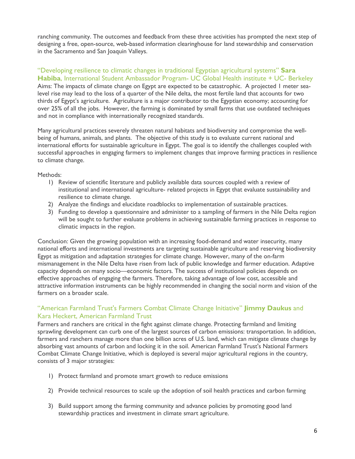ranching community. The outcomes and feedback from these three activities has prompted the next step of designing a free, open-source, web-based information clearinghouse for land stewardship and conservation in the Sacramento and San Joaquin Valleys.

#### "Developing resilience to climatic changes in traditional Egyptian agricultural systems" **Sara Habiba**, International Student Ambassador Program- UC Global Health institute + UC- Berkeley

Aims: The impacts of climate change on Egypt are expected to be catastrophic. A projected 1 meter sealevel rise may lead to the loss of a quarter of the Nile delta, the most fertile land that accounts for two thirds of Egypt's agriculture. Agriculture is a major contributor to the Egyptian economy; accounting for over 25% of all the jobs. However, the farming is dominated by small farms that use outdated techniques and not in compliance with internationally recognized standards.

Many agricultural practices severely threaten natural habitats and biodiversity and compromise the wellbeing of humans, animals, and plants. The objective of this study is to evaluate current national and international efforts for sustainable agriculture in Egypt. The goal is to identify the challenges coupled with successful approaches in engaging farmers to implement changes that improve farming practices in resilience to climate change.

#### Methods:

- 1) Review of scientific literature and publicly available data sources coupled with a review of institutional and international agriculture- related projects in Egypt that evaluate sustainability and resilience to climate change.
- 2) Analyze the findings and elucidate roadblocks to implementation of sustainable practices.
- 3) Funding to develop a questionnaire and administer to a sampling of farmers in the Nile Delta region will be sought to further evaluate problems in achieving sustainable farming practices in response to climatic impacts in the region.

Conclusion: Given the growing population with an increasing food-demand and water insecurity, many national efforts and international investments are targeting sustainable agriculture and reserving biodiversity Egypt as mitigation and adaptation strategies for climate change. However, many of the on-farm mismanagement in the Nile Delta have risen from lack of public knowledge and farmer education. Adaptive capacity depends on many socio—economic factors. The success of institutional policies depends on effective approaches of engaging the farmers. Therefore, taking advantage of low cost, accessible and attractive information instruments can be highly recommended in changing the social norm and vision of the farmers on a broader scale.

#### "American Farmland Trust's Farmers Combat Climate Change Initiative" **Jimmy Daukus** and Kara Heckert, American Farmland Trust

Farmers and ranchers are critical in the fight against climate change. Protecting farmland and limiting sprawling development can curb one of the largest sources of carbon emissions: transportation. In addition, farmers and ranchers manage more than one billion acres of U.S. land, which can mitigate climate change by absorbing vast amounts of carbon and locking it in the soil. American Farmland Trust's National Farmers Combat Climate Change Initiative, which is deployed is several major agricultural regions in the country, consists of 3 major strategies:

- 1) Protect farmland and promote smart growth to reduce emissions
- 2) Provide technical resources to scale up the adoption of soil health practices and carbon farming
- 3) Build support among the farming community and advance policies by promoting good land stewardship practices and investment in climate smart agriculture.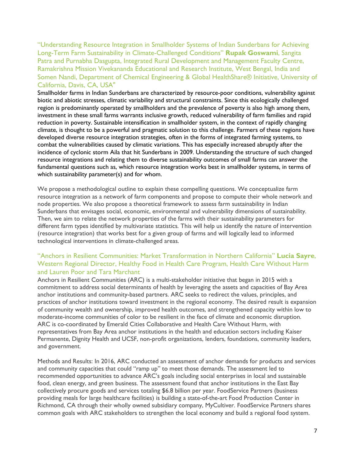"Understanding Resource Integration in Smallholder Systems of Indian Sunderbans for Achieving Long-Term Farm Sustainability in Climate-Challenged Conditions" **Rupak Goswami**, Sangita Patra and Purnabha Dasgupta, Integrated Rural Development and Management Faculty Centre, Ramakrishna Mission Vivekananda Educational and Research Institute, West Bengal, India and Somen Nandi, Department of Chemical Engineering & Global HealthShare® Initiative, University of California, Davis, CA, USA"

Smallholder farms in Indian Sunderbans are characterized by resource-poor conditions, vulnerability against biotic and abiotic stresses, climatic variability and structural constraints. Since this ecologically challenged region is predominantly operated by smallholders and the prevalence of poverty is also high among them, investment in these small farms warrants inclusive growth, reduced vulnerability of farm families and rapid reduction in poverty. Sustainable intensification in smallholder system, in the context of rapidly changing climate, is thought to be a powerful and pragmatic solution to this challenge. Farmers of these regions have developed diverse resource integration strategies, often in the forms of integrated farming systems, to combat the vulnerabilities caused by climatic variations. This has especially increased abruptly after the incidence of cyclonic storm Aila that hit Sunderbans in 2009. Understanding the structure of such changed resource integrations and relating them to diverse sustainability outcomes of small farms can answer the fundamental questions such as, which resource integration works best in smallholder systems, in terms of which sustainability parameter(s) and for whom.

We propose a methodological outline to explain these compelling questions. We conceptualize farm resource integration as a network of farm components and propose to compute their whole network and node properties. We also propose a theoretical framework to assess farm sustainability in Indian Sunderbans that envisages social, economic, environmental and vulnerability dimensions of sustainability. Then, we aim to relate the network properties of the farms with their sustainability parameters for different farm types identified by multivariate statistics. This will help us identify the nature of intervention (resource integration) that works best for a given group of farms and will logically lead to informed technological interventions in climate-challenged areas.

#### "Anchors in Resilient Communities: Market Transformation in Northern California" **Lucia Sayre**, Western Regional Director, Healthy Food in Health Care Program, Health Care Without Harm and Lauren Poor and Tara Marchant

Anchors in Resilient Communities (ARC) is a multi-stakeholder initiative that began in 2015 with a commitment to address social determinants of health by leveraging the assets and capacities of Bay Area anchor institutions and community-based partners. ARC seeks to redirect the values, principles, and practices of anchor institutions toward investment in the regional economy. The desired result is expansion of community wealth and ownership, improved health outcomes, and strengthened capacity within low to moderate-income communities of color to be resilient in the face of climate and economic disruption. ARC is co-coordinated by Emerald Cities Collaborative and Health Care Without Harm, with representatives from Bay Area anchor institutions in the health and education sectors including Kaiser Permanente, Dignity Health and UCSF, non-profit organizations, lenders, foundations, community leaders, and government.

Methods and Results: In 2016, ARC conducted an assessment of anchor demands for products and services and community capacities that could "ramp up" to meet those demands. The assessment led to recommended opportunities to advance ARC's goals including social enterprises in local and sustainable food, clean energy, and green business. The assessment found that anchor institutions in the East Bay collectively procure goods and services totaling \$6.8 billion per year. FoodService Partners (business providing meals for large healthcare facilities) is building a state-of-the-art Food Production Center in Richmond, CA through their wholly owned subsidiary company, MyCultiver. FoodService Partners shares common goals with ARC stakeholders to strengthen the local economy and build a regional food system.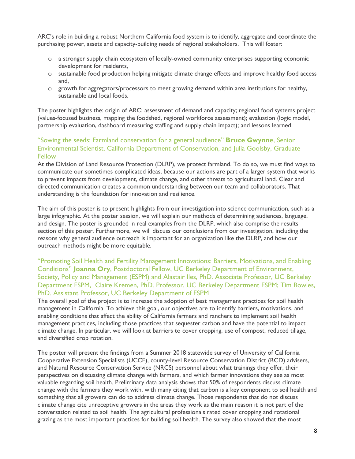ARC's role in building a robust Northern California food system is to identify, aggregate and coordinate the purchasing power, assets and capacity-building needs of regional stakeholders. This will foster:

- ѻ a stronger supply chain ecosystem of locally-owned community enterprises supporting economic development for residents,
- ѻ sustainable food production helping mitigate climate change effects and improve healthy food access and,
- $\circ$  growth for aggregators/processors to meet growing demand within area institutions for healthy, sustainable and local foods.

The poster highlights the: origin of ARC; assessment of demand and capacity; regional food systems project (values-focused business, mapping the foodshed, regional workforce assessment); evaluation (logic model, partnership evaluation, dashboard measuring staffing and supply chain impact); and lessons learned.

#### "Sowing the seeds: Farmland conservation for a general audience" **Bruce Gwynne**, Senior Environmental Scientist, California Department of Conservation, and Julia Goolsby, Graduate Fellow

At the Division of Land Resource Protection (DLRP), we protect farmland. To do so, we must find ways to communicate our sometimes complicated ideas, because our actions are part of a larger system that works to prevent impacts from development, climate change, and other threats to agricultural land. Clear and directed communication creates a common understanding between our team and collaborators. That understanding is the foundation for innovation and resilience.

The aim of this poster is to present highlights from our investigation into science communication, such as a large infographic. At the poster session, we will explain our methods of determining audiences, language, and design. The poster is grounded in real examples from the DLRP, which also comprise the results section of this poster. Furthermore, we will discuss our conclusions from our investigation, including the reasons why general audience outreach is important for an organization like the DLRP, and how our outreach methods might be more equitable.

#### "Promoting Soil Health and Fertility Management Innovations: Barriers, Motivations, and Enabling Conditions" **Joanna Ory**, Postdoctoral Fellow, UC Berkeley Department of Environment, Society, Policy and Management (ESPM) and Alastair Iles, PhD. Associate Professor, UC Berkeley Department ESPM, Claire Kremen, PhD. Professor, UC Berkeley Department ESPM; Tim Bowles, PhD. Assistant Professor, UC Berkeley Department of ESPM

The overall goal of the project is to increase the adoption of best management practices for soil health management in California. To achieve this goal, our objectives are to identify barriers, motivations, and enabling conditions that affect the ability of California farmers and ranchers to implement soil health management practices, including those practices that sequester carbon and have the potential to impact climate change. In particular, we will look at barriers to cover cropping, use of compost, reduced tillage, and diversified crop rotation.

The poster will present the findings from a Summer 2018 statewide survey of University of California Cooperative Extension Specialists (UCCE), county-level Resource Conservation District (RCD) advisers, and Natural Resource Conservation Service (NRCS) personnel about what trainings they offer, their perspectives on discussing climate change with farmers, and which farmer innovations they see as most valuable regarding soil health. Preliminary data analysis shows that 50% of respondents discuss climate change with the farmers they work with, with many citing that carbon is a key component to soil health and something that all growers can do to address climate change. Those respondents that do not discuss climate change cite unreceptive growers in the areas they work as the main reason it is not part of the conversation related to soil health. The agricultural professionals rated cover cropping and rotational grazing as the most important practices for building soil health. The survey also showed that the most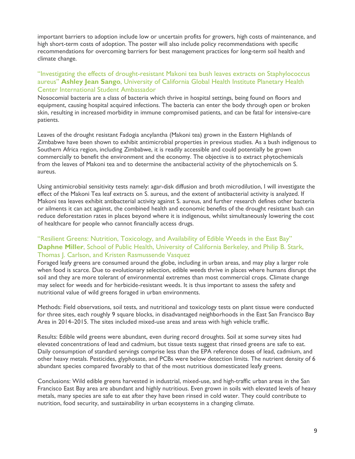important barriers to adoption include low or uncertain profits for growers, high costs of maintenance, and high short-term costs of adoption. The poster will also include policy recommendations with specific recommendations for overcoming barriers for best management practices for long-term soil health and climate change.

#### "Investigating the effects of drought-resistant Makoni tea bush leaves extracts on Staphylococcus aureus" **Ashley Jean Sango**, University of California Global Health Institute Planetary Health Center International Student Ambassador

Nosocomial bacteria are a class of bacteria which thrive in hospital settings, being found on floors and equipment, causing hospital acquired infections. The bacteria can enter the body through open or broken skin, resulting in increased morbidity in immune compromised patients, and can be fatal for intensive-care patients.

Leaves of the drought resistant Fadogia ancylantha (Makoni tea) grown in the Eastern Highlands of Zimbabwe have been shown to exhibit antimicrobial properties in previous studies. As a bush indigenous to Southern Africa region, including Zimbabwe, it is readily accessible and could potentially be grown commercially to benefit the environment and the economy. The objective is to extract phytochemicals from the leaves of Makoni tea and to determine the antibacterial activity of the phytochemicals on S. aureus.

Using antimicrobial sensitivity tests namely: agar-disk diffusion and broth microdilution, I will investigate the effect of the Makoni Tea leaf extracts on S. aureus, and the extent of antibacterial activity is analyzed. If Makoni tea leaves exhibit antibacterial activity against S. aureus, and further research defines other bacteria or ailments it can act against, the combined health and economic benefits of the drought resistant bush can reduce deforestation rates in places beyond where it is indigenous, whilst simultaneously lowering the cost of healthcare for people who cannot financially access drugs.

#### "Resilient Greens: Nutrition, Toxicology, and Availability of Edible Weeds in the East Bay" **Daphne Miller**, School of Public Health, University of California Berkeley, and Philip B. Stark, Thomas J. Carlson, and Kristen Rasmussende Vasquez

Foraged leafy greens are consumed around the globe, including in urban areas, and may play a larger role when food is scarce. Due to evolutionary selection, edible weeds thrive in places where humans disrupt the soil and they are more tolerant of environmental extremes than most commercial crops. Climate change may select for weeds and for herbicide-resistant weeds. It is thus important to assess the safety and nutritional value of wild greens foraged in urban environments.

Methods: Field observations, soil tests, and nutritional and toxicology tests on plant tissue were conducted for three sites, each roughly 9 square blocks, in disadvantaged neighborhoods in the East San Francisco Bay Area in 2014–2015. The sites included mixed-use areas and areas with high vehicle traffic.

Results: Edible wild greens were abundant, even during record droughts. Soil at some survey sites had elevated concentrations of lead and cadmium, but tissue tests suggest that rinsed greens are safe to eat. Daily consumption of standard servings comprise less than the EPA reference doses of lead, cadmium, and other heavy metals. Pesticides, glyphosate, and PCBs were below detection limits. The nutrient density of 6 abundant species compared favorably to that of the most nutritious domesticated leafy greens.

Conclusions: Wild edible greens harvested in industrial, mixed-use, and high-traffic urban areas in the San Francisco East Bay area are abundant and highly nutritious. Even grown in soils with elevated levels of heavy metals, many species are safe to eat after they have been rinsed in cold water. They could contribute to nutrition, food security, and sustainability in urban ecosystems in a changing climate.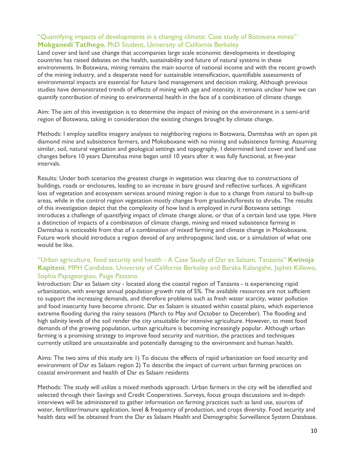#### "Quantifying impacts of developments in a changing climate: Case study of Botswana mines" **Mokganedi Tatlhego**, PhD Student, University of California Berkeley

Land cover and land use change that accompanies large scale economic developments in developing countries has raised debates on the health, sustainability and future of natural systems in these environments. In Botswana, mining remains the main source of national income and with the recent growth of the mining industry, and a desperate need for sustainable intensification, quantifiable assessments of environmental impacts are essential for future land management and decision making. Although previous studies have demonstrated trends of effects of mining with age and intensity, it remains unclear how we can quantify contribution of mining to environmental health in the face of a combination of climate change.

Aim: The aim of this investigation is to determine the impact of mining on the environment in a semi-arid region of Botswana, taking in consideration the existing changes brought by climate change.

Methods: I employ satellite imagery analyses to neighboring regions in Botswana, Damtshaa with an open pit diamond mine and subsistence farmers, and Mokoboxane with no mining and subsistence farming. Assuming similar, soil, natural vegetation and geological settings and topography, I determined land cover and land use changes before 10 years Damtshaa mine began until 10 years after it was fully functional, at five-year intervals.

Results: Under both scenarios the greatest change in vegetation was clearing due to constructions of buildings, roads or enclosures, leading to an increase in bare ground and reflective surfaces. A significant loss of vegetation and ecosystem services around mining region is due to a change from natural to built-up areas, while in the control region vegetation mostly changes from grasslands/forests to shrubs. The results of this investigation depict that the complexity of how land is employed in rural Botswana settings introduces a challenge of quantifying impact of climate change alone, or that of a certain land use type. Here a distinction of impacts of a combination of climate change, mining and mixed subsistence farming in Damtshaa is noticeable from that of a combination of mixed farming and climate change in Mokoboxane. Future work should introduce a region devoid of any anthropogenic land use, or a simulation of what one would be like.

#### "Urban agriculture, food security and health - A Case Study of Dar es Salaam, Tanzania" **Kwinoja Kapiteni**, MPH Candidate, University of California Berkeley and Baraka Kalangahe, Japhet Killewo, Sophia Papageorgiou, Paige Passano

Introduction: Dar es Salaam city - located along the coastal region of Tanzania - is experiencing rapid urbanization, with average annual population growth rate of 5%. The available resources are not sufficient to support the increasing demands, and therefore problems such as fresh water scarcity, water pollution and food insecurity have become chronic. Dar es Salaam is situated within coastal plains, which experience extreme flooding during the rainy seasons (March to May and October to December). The flooding and high salinity levels of the soil render the city unsuitable for intensive agriculture. However, to meet food demands of the growing population, urban agriculture is becoming increasingly popular. Although urban farming is a promising strategy to improve food security and nutrition, the practices and techniques currently utilized are unsustainable and potentially damaging to the environment and human health.

Aims: The two aims of this study are 1) To discuss the effects of rapid urbanization on food security and environment of Dar es Salaam region 2) To describe the impact of current urban farming practices on coastal environment and health of Dar es Salaam residents

Methods: The study will utilize a mixed methods approach. Urban farmers in the city will be identified and selected through their Savings and Credit Cooperatives. Surveys, focus groups discussions and in-depth interviews will be administered to gather information on farming practices such as land use, sources of water, fertilizer/manure application, level & frequency of production, and crops diversity. Food security and health data will be obtained from the Dar es Salaam Health and Demographic Surveillance System Database.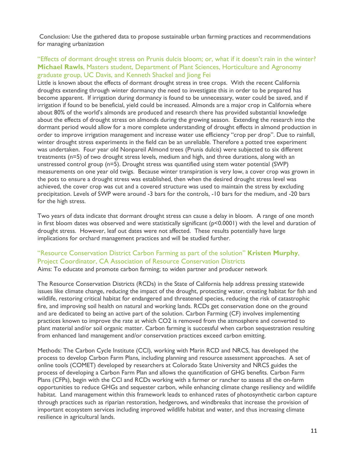Conclusion: Use the gathered data to propose sustainable urban farming practices and recommendations for managing urbanization

#### "Effects of dormant drought stress on Prunis dulcis bloom; or, what if it doesn't rain in the winter? **Michael Rawls**, Masters student, Department of Plant Sciences, Horticulture and Agronomy graduate group, UC Davis, and Kenneth Shackel and Jiong Fei

Little is known about the effects of dormant drought stress in tree crops. With the recent California droughts extending through winter dormancy the need to investigate this in order to be prepared has become apparent. If irrigation during dormancy is found to be unnecessary, water could be saved, and if irrigation if found to be beneficial, yield could be increased. Almonds are a major crop in California where about 80% of the world's almonds are produced and research there has provided substantial knowledge about the effects of drought stress on almonds during the growing season. Extending the research into the dormant period would allow for a more complete understanding of drought effects in almond production in order to improve irrigation management and increase water use efficiency "crop per drop". Due to rainfall, winter drought stress experiments in the field can be an unreliable. Therefore a potted tree experiment was undertaken. Four year old Nonpareil Almond trees (Prunis dulcis) were subjected to six different treatments (n=5) of two drought stress levels, medium and high, and three durations, along with an unstressed control group (n=5). Drought stress was quantified using stem water potential (SWP) measurements on one year old twigs. Because winter transpiration is very low, a cover crop was grown in the pots to ensure a drought stress was established, then when the desired drought stress level was achieved, the cover crop was cut and a covered structure was used to maintain the stress by excluding precipitation. Levels of SWP were around -3 bars for the controls, -10 bars for the medium, and -20 bars for the high stress.

Two years of data indicate that dormant drought stress can cause a delay in bloom. A range of one month in first bloom dates was observed and were statistically significant (p<0.0001) with the level and duration of drought stress. However, leaf out dates were not affected. These results potentially have large implications for orchard management practices and will be studied further.

### "Resource Conservation District Carbon Farming as part of the solution" **Kristen Murphy**, Project Coordinator, CA Association of Resource Conservation Districts

Aims: To educate and promote carbon farming; to widen partner and producer network

The Resource Conservation Districts (RCDs) in the State of California help address pressing statewide issues like climate change, reducing the impact of the drought, protecting water, creating habitat for fish and wildlife, restoring critical habitat for endangered and threatened species, reducing the risk of catastrophic fire, and improving soil health on natural and working lands. RCDs get conservation done on the ground and are dedicated to being an active part of the solution. Carbon Farming (CF) involves implementing practices known to improve the rate at which CO2 is removed from the atmosphere and converted to plant material and/or soil organic matter. Carbon farming is successful when carbon sequestration resulting from enhanced land management and/or conservation practices exceed carbon emitting.

Methods: The Carbon Cycle Institute (CCI), working with Marin RCD and NRCS, has developed the process to develop Carbon Farm Plans, including planning and resource assessment approaches. A set of online tools (COMET) developed by researchers at Colorado State University and NRCS guides the process of developing a Carbon Farm Plan and allows the quantification of GHG benefits. Carbon Farm Plans (CFPs), begin with the CCI and RCDs working with a farmer or rancher to assess all the on-farm opportunities to reduce GHGs and sequester carbon, while enhancing climate change resiliency and wildlife habitat. Land management within this framework leads to enhanced rates of photosynthetic carbon capture through practices such as riparian restoration, hedgerows, and windbreaks that increase the provision of important ecosystem services including improved wildlife habitat and water, and thus increasing climate resilience in agricultural lands.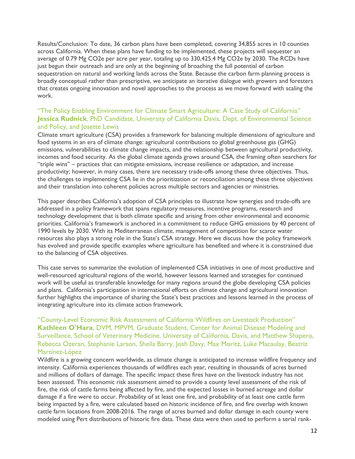Results/Conclusion: To date, 36 carbon plans have been completed, covering 34,855 acres in 10 counties across California. When these plans have funding to be implemented, these projects will sequester an average of 0.79 Mg CO2e per acre per year, totaling up to 330,425.4 Mg CO2e by 2030. The RCDs have just begun their outreach and are only at the beginning of broaching the full potential of carbon sequestration on natural and working lands across the State. Because the carbon farm planning process is broadly conceptual rather than prescriptive, we anticipate an iterative dialogue with growers and foresters that creates ongoing innovation and novel approaches to the process as we move forward with scaling the work.

#### "The Policy Enabling Environment for Climate Smart Agriculture: A Case Study of California" **Jessica Rudnick**, PhD Candidate, University of California Davis, Dept. of Environmental Science and Policy, and Josette Lewis

Climate smart agriculture (CSA) provides a framework for balancing multiple dimensions of agriculture and food systems in an era of climate change: agricultural contributions to global greenhouse gas (GHG) emissions, vulnerabilities to climate change impacts, and the relationship between agricultural productivity, incomes and food security. As the global climate agenda grows around CSA, the framing often searchers for "triple wins" – practices that can mitigate emissions, increase resilience or adaptation, and increase productivity; however, in many cases, there are necessary trade-offs among these three objectives. Thus, the challenges to implementing CSA lie in the prioritization or reconciliation among these three objectives and their translation into coherent policies across multiple sectors and agencies or ministries.

This paper describes California's adoption of CSA principles to illustrate how synergies and trade-offs are addressed in a policy framework that spans regulatory measures, incentive programs, research and technology development that is both climate specific and arising from other environmental and economic priorities. California's framework is anchored in a commitment to reduce GHG emissions by 40 percent of 1990 levels by 2030. With its Mediterranean climate, management of competition for scarce water resources also plays a strong role in the State's CSA strategy. Here we discuss how the policy framework has evolved and provide specific examples where agriculture has benefited and where it is constrained due to the balancing of CSA objectives.

This case serves to summarize the evolution of implemented CSA initiatives in one of most productive and well-resourced agricultural regions of the world, however lessons learned and strategies for continued work will be useful as transferable knowledge for many regions around the globe developing CSA policies and plans. California's participation in international efforts on climate change and agricultural innovation further highlights the importance of sharing the State's best practices and lessons learned in the process of integrating agriculture into its climate action framework.

#### "County-Level Economic Risk Assessment of California Wildfires on Livestock Production" **Kathleen O'Hara**, DVM, MPVM, Graduate Student, Center for Animal Disease Modeling and Surveillance, School of Veterinary Medicine, University of California, Davis, and Matthew Shapero, Rebecca Ozeran, Stephanie Larson, Sheila Barry, Josh Davy, Max Moritz, Luke Macaulay, Beatriz Martínez-López

Wildfire is a growing concern worldwide, as climate change is anticipated to increase wildfire frequency and intensity. California experiences thousands of wildfires each year, resulting in thousands of acres burned and millions of dollars of damage. The specific impact these fires have on the livestock industry has not been assessed. This economic risk assessment aimed to provide a county level assessment of the risk of fire, the risk of cattle farms being affected by fire, and the expected losses in burned acreage and dollar damage if a fire were to occur. Probability of at least one fire, and probability of at least one cattle farm being impacted by a fire, were calculated based on historic incidence of fire, and fire overlap with known cattle farm locations from 2008-2016. The range of acres burned and dollar damage in each county were modeled using Pert distributions of historic fire data. These data were then used to perform a serial rank-